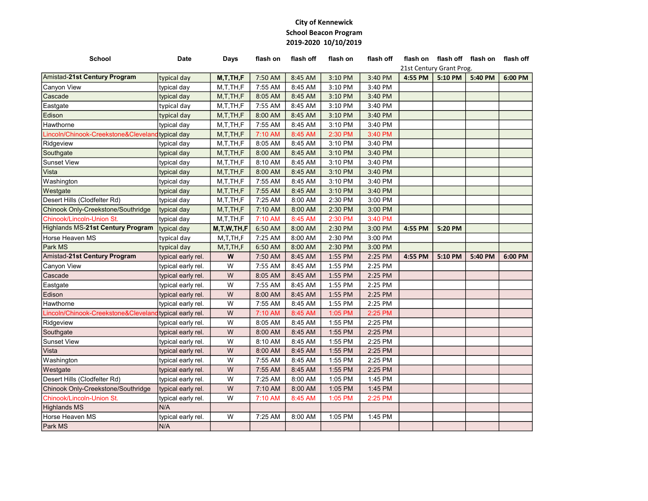## City of Kennewick School Beacon Program 2019-2020 10/10/2019

| 21st Century Grant Prog.<br>Amistad-21st Century Program<br>7:50 AM<br>8:45 AM<br>3:10 PM<br>3:40 PM<br>4:55 PM<br>5:10 PM<br>5:40 PM<br>6:00 PM<br>typical day<br>M, T, TH, F<br>7:55 AM<br>8:45 AM<br>M, T, TH, F<br>3:10 PM<br>3:40 PM<br>typical day<br>8:45 AM<br>typical day<br>M, T, TH, F<br>8:05 AM<br>3:10 PM<br>3:40 PM<br>M, T, TH, F<br>7:55 AM<br>8:45 AM<br>3:40 PM<br>typical day<br>3:10 PM<br>typical day<br>M, T, TH, F<br>8:00 AM<br>8:45 AM<br>3:10 PM<br>3:40 PM<br>7:55 AM<br>8:45 AM<br>3:10 PM<br>3:40 PM<br>typical day<br>M, T, TH, F<br>M, T, TH, F<br>7:10 AM<br>8:45 AM<br>2:30 PM<br>3:40 PM<br>typical day<br>8:05 AM<br>8:45 AM<br>3:10 PM<br>3:40 PM<br>M, T, TH, F<br>typical day<br>8:00 AM<br>8:45 AM<br>typical day<br>M, T, TH, F<br>3:10 PM<br>3:40 PM<br>M, T, TH, F<br>8:10 AM<br>8:45 AM<br>3:40 PM<br>typical day<br>3:10 PM<br>M, T, TH, F<br>8:00 AM<br>8:45 AM<br>3:10 PM<br>3:40 PM<br>typical day<br>typical day<br>M, T, TH, F<br>7:55 AM<br>8:45 AM<br>3:10 PM<br>3:40 PM<br>7:55 AM<br>8:45 AM<br>3:40 PM<br>typical day<br>M, T, TH, F<br>3:10 PM<br>M, T, TH, F<br>7:25 AM<br>8:00 AM<br>2:30 PM<br>3:00 PM<br>typical day<br>M, T, TH, F<br>7:10 AM<br>8:00 AM<br>2:30 PM<br>3:00 PM<br>typical day<br>8:45 AM<br>2:30 PM<br>typical day<br>M, T, TH, F<br>7:10 AM<br>3:40 PM<br>6:50 AM<br>8:00 AM<br>2:30 PM<br>3:00 PM<br>typical day<br>M, T, W, TH, F<br>4:55 PM<br>5:20 PM<br>M,T,TH,F<br>7:25 AM<br>8:00 AM<br>2:30 PM<br>3:00 PM<br>typical day<br>2:30 PM<br>3:00 PM<br>typical day<br>M, T, TH, F<br>6:50 AM<br>8:00 AM<br>W<br>7:50 AM<br>8:45 AM<br>1:55 PM<br>2:25 PM<br>4:55 PM<br>5:10 PM<br>6:00 PM<br>typical early rel.<br>5:40 PM<br>W<br>7:55 AM<br>8:45 AM<br>1:55 PM<br>2:25 PM<br>typical early rel.<br>W<br>8:05 AM<br>8:45 AM<br>1:55 PM<br>2:25 PM<br>typical early rel.<br>W<br>7:55 AM<br>8:45 AM<br>1:55 PM<br>2:25 PM<br>typical early rel.<br>W<br>8:00 AM<br>8:45 AM<br>1:55 PM<br>2:25 PM<br>typical early rel.<br>W<br>7:55 AM<br>8:45 AM<br>typical early rel.<br>1:55 PM<br>2:25 PM<br>${\sf W}$<br>typical early rel.<br>7:10 AM<br>8:45 AM<br>1:05 PM<br>2:25 PM<br>W<br>8:05 AM<br>8:45 AM<br>1:55 PM<br>2:25 PM<br>typical early rel.<br>W<br>8:45 AM<br>1:55 PM<br>2:25 PM<br>8:00 AM<br>typical early rel.<br>W<br>8:45 AM<br>8:10 AM<br>1:55 PM<br>2:25 PM<br>typical early rel.<br>W<br>2:25 PM<br>8:00 AM<br>8:45 AM<br>1:55 PM<br>typical early rel.<br>W<br>7:55 AM<br>8:45 AM<br>1:55 PM<br>2:25 PM<br>typical early rel.<br>W<br>7:55 AM<br>8:45 AM<br>1:55 PM<br>2:25 PM<br>typical early rel.<br>W<br>7:25 AM<br>8:00 AM<br>1:45 PM<br>typical early rel.<br>1:05 PM<br>typical early rel.<br>W<br>7:10 AM<br>8:00 AM<br>1:05 PM<br>1:45 PM<br>W<br>7:10 AM<br>8:45 AM<br>1:05 PM<br>2:25 PM<br>typical early rel.<br>N/A<br>W<br>7:25 AM<br>8:00 AM<br>1:05 PM<br>1:45 PM<br>typical early rel.<br>N/A | <b>School</b>                        | <b>Date</b> | Days | flash on | flash off | flash on | flash off |  | flash on flash off flash on flash off |  |
|-------------------------------------------------------------------------------------------------------------------------------------------------------------------------------------------------------------------------------------------------------------------------------------------------------------------------------------------------------------------------------------------------------------------------------------------------------------------------------------------------------------------------------------------------------------------------------------------------------------------------------------------------------------------------------------------------------------------------------------------------------------------------------------------------------------------------------------------------------------------------------------------------------------------------------------------------------------------------------------------------------------------------------------------------------------------------------------------------------------------------------------------------------------------------------------------------------------------------------------------------------------------------------------------------------------------------------------------------------------------------------------------------------------------------------------------------------------------------------------------------------------------------------------------------------------------------------------------------------------------------------------------------------------------------------------------------------------------------------------------------------------------------------------------------------------------------------------------------------------------------------------------------------------------------------------------------------------------------------------------------------------------------------------------------------------------------------------------------------------------------------------------------------------------------------------------------------------------------------------------------------------------------------------------------------------------------------------------------------------------------------------------------------------------------------------------------------------------------------------------------------------------------------------------------------------------------------------------------------------------------------------------------------------------------------------------------------------------------------------------------------------------------------------------------------------------------------------------------------------------------------------------------------------------|--------------------------------------|-------------|------|----------|-----------|----------|-----------|--|---------------------------------------|--|
|                                                                                                                                                                                                                                                                                                                                                                                                                                                                                                                                                                                                                                                                                                                                                                                                                                                                                                                                                                                                                                                                                                                                                                                                                                                                                                                                                                                                                                                                                                                                                                                                                                                                                                                                                                                                                                                                                                                                                                                                                                                                                                                                                                                                                                                                                                                                                                                                                                                                                                                                                                                                                                                                                                                                                                                                                                                                                                                   |                                      |             |      |          |           |          |           |  |                                       |  |
|                                                                                                                                                                                                                                                                                                                                                                                                                                                                                                                                                                                                                                                                                                                                                                                                                                                                                                                                                                                                                                                                                                                                                                                                                                                                                                                                                                                                                                                                                                                                                                                                                                                                                                                                                                                                                                                                                                                                                                                                                                                                                                                                                                                                                                                                                                                                                                                                                                                                                                                                                                                                                                                                                                                                                                                                                                                                                                                   |                                      |             |      |          |           |          |           |  |                                       |  |
|                                                                                                                                                                                                                                                                                                                                                                                                                                                                                                                                                                                                                                                                                                                                                                                                                                                                                                                                                                                                                                                                                                                                                                                                                                                                                                                                                                                                                                                                                                                                                                                                                                                                                                                                                                                                                                                                                                                                                                                                                                                                                                                                                                                                                                                                                                                                                                                                                                                                                                                                                                                                                                                                                                                                                                                                                                                                                                                   | Canyon View                          |             |      |          |           |          |           |  |                                       |  |
|                                                                                                                                                                                                                                                                                                                                                                                                                                                                                                                                                                                                                                                                                                                                                                                                                                                                                                                                                                                                                                                                                                                                                                                                                                                                                                                                                                                                                                                                                                                                                                                                                                                                                                                                                                                                                                                                                                                                                                                                                                                                                                                                                                                                                                                                                                                                                                                                                                                                                                                                                                                                                                                                                                                                                                                                                                                                                                                   | Cascade                              |             |      |          |           |          |           |  |                                       |  |
|                                                                                                                                                                                                                                                                                                                                                                                                                                                                                                                                                                                                                                                                                                                                                                                                                                                                                                                                                                                                                                                                                                                                                                                                                                                                                                                                                                                                                                                                                                                                                                                                                                                                                                                                                                                                                                                                                                                                                                                                                                                                                                                                                                                                                                                                                                                                                                                                                                                                                                                                                                                                                                                                                                                                                                                                                                                                                                                   | Eastgate                             |             |      |          |           |          |           |  |                                       |  |
|                                                                                                                                                                                                                                                                                                                                                                                                                                                                                                                                                                                                                                                                                                                                                                                                                                                                                                                                                                                                                                                                                                                                                                                                                                                                                                                                                                                                                                                                                                                                                                                                                                                                                                                                                                                                                                                                                                                                                                                                                                                                                                                                                                                                                                                                                                                                                                                                                                                                                                                                                                                                                                                                                                                                                                                                                                                                                                                   | Edison                               |             |      |          |           |          |           |  |                                       |  |
|                                                                                                                                                                                                                                                                                                                                                                                                                                                                                                                                                                                                                                                                                                                                                                                                                                                                                                                                                                                                                                                                                                                                                                                                                                                                                                                                                                                                                                                                                                                                                                                                                                                                                                                                                                                                                                                                                                                                                                                                                                                                                                                                                                                                                                                                                                                                                                                                                                                                                                                                                                                                                                                                                                                                                                                                                                                                                                                   | Hawthorne                            |             |      |          |           |          |           |  |                                       |  |
|                                                                                                                                                                                                                                                                                                                                                                                                                                                                                                                                                                                                                                                                                                                                                                                                                                                                                                                                                                                                                                                                                                                                                                                                                                                                                                                                                                                                                                                                                                                                                                                                                                                                                                                                                                                                                                                                                                                                                                                                                                                                                                                                                                                                                                                                                                                                                                                                                                                                                                                                                                                                                                                                                                                                                                                                                                                                                                                   | Lincoln/Chinook-Creekstone&Cleveland |             |      |          |           |          |           |  |                                       |  |
|                                                                                                                                                                                                                                                                                                                                                                                                                                                                                                                                                                                                                                                                                                                                                                                                                                                                                                                                                                                                                                                                                                                                                                                                                                                                                                                                                                                                                                                                                                                                                                                                                                                                                                                                                                                                                                                                                                                                                                                                                                                                                                                                                                                                                                                                                                                                                                                                                                                                                                                                                                                                                                                                                                                                                                                                                                                                                                                   | Ridgeview                            |             |      |          |           |          |           |  |                                       |  |
|                                                                                                                                                                                                                                                                                                                                                                                                                                                                                                                                                                                                                                                                                                                                                                                                                                                                                                                                                                                                                                                                                                                                                                                                                                                                                                                                                                                                                                                                                                                                                                                                                                                                                                                                                                                                                                                                                                                                                                                                                                                                                                                                                                                                                                                                                                                                                                                                                                                                                                                                                                                                                                                                                                                                                                                                                                                                                                                   | Southgate                            |             |      |          |           |          |           |  |                                       |  |
|                                                                                                                                                                                                                                                                                                                                                                                                                                                                                                                                                                                                                                                                                                                                                                                                                                                                                                                                                                                                                                                                                                                                                                                                                                                                                                                                                                                                                                                                                                                                                                                                                                                                                                                                                                                                                                                                                                                                                                                                                                                                                                                                                                                                                                                                                                                                                                                                                                                                                                                                                                                                                                                                                                                                                                                                                                                                                                                   | <b>Sunset View</b>                   |             |      |          |           |          |           |  |                                       |  |
|                                                                                                                                                                                                                                                                                                                                                                                                                                                                                                                                                                                                                                                                                                                                                                                                                                                                                                                                                                                                                                                                                                                                                                                                                                                                                                                                                                                                                                                                                                                                                                                                                                                                                                                                                                                                                                                                                                                                                                                                                                                                                                                                                                                                                                                                                                                                                                                                                                                                                                                                                                                                                                                                                                                                                                                                                                                                                                                   | Vista                                |             |      |          |           |          |           |  |                                       |  |
|                                                                                                                                                                                                                                                                                                                                                                                                                                                                                                                                                                                                                                                                                                                                                                                                                                                                                                                                                                                                                                                                                                                                                                                                                                                                                                                                                                                                                                                                                                                                                                                                                                                                                                                                                                                                                                                                                                                                                                                                                                                                                                                                                                                                                                                                                                                                                                                                                                                                                                                                                                                                                                                                                                                                                                                                                                                                                                                   | Washington                           |             |      |          |           |          |           |  |                                       |  |
|                                                                                                                                                                                                                                                                                                                                                                                                                                                                                                                                                                                                                                                                                                                                                                                                                                                                                                                                                                                                                                                                                                                                                                                                                                                                                                                                                                                                                                                                                                                                                                                                                                                                                                                                                                                                                                                                                                                                                                                                                                                                                                                                                                                                                                                                                                                                                                                                                                                                                                                                                                                                                                                                                                                                                                                                                                                                                                                   | Westgate                             |             |      |          |           |          |           |  |                                       |  |
|                                                                                                                                                                                                                                                                                                                                                                                                                                                                                                                                                                                                                                                                                                                                                                                                                                                                                                                                                                                                                                                                                                                                                                                                                                                                                                                                                                                                                                                                                                                                                                                                                                                                                                                                                                                                                                                                                                                                                                                                                                                                                                                                                                                                                                                                                                                                                                                                                                                                                                                                                                                                                                                                                                                                                                                                                                                                                                                   | Desert Hills (Clodfelter Rd)         |             |      |          |           |          |           |  |                                       |  |
|                                                                                                                                                                                                                                                                                                                                                                                                                                                                                                                                                                                                                                                                                                                                                                                                                                                                                                                                                                                                                                                                                                                                                                                                                                                                                                                                                                                                                                                                                                                                                                                                                                                                                                                                                                                                                                                                                                                                                                                                                                                                                                                                                                                                                                                                                                                                                                                                                                                                                                                                                                                                                                                                                                                                                                                                                                                                                                                   | Chinook Only-Creekstone/Southridge   |             |      |          |           |          |           |  |                                       |  |
|                                                                                                                                                                                                                                                                                                                                                                                                                                                                                                                                                                                                                                                                                                                                                                                                                                                                                                                                                                                                                                                                                                                                                                                                                                                                                                                                                                                                                                                                                                                                                                                                                                                                                                                                                                                                                                                                                                                                                                                                                                                                                                                                                                                                                                                                                                                                                                                                                                                                                                                                                                                                                                                                                                                                                                                                                                                                                                                   | Chinook/Lincoln-Union St.            |             |      |          |           |          |           |  |                                       |  |
|                                                                                                                                                                                                                                                                                                                                                                                                                                                                                                                                                                                                                                                                                                                                                                                                                                                                                                                                                                                                                                                                                                                                                                                                                                                                                                                                                                                                                                                                                                                                                                                                                                                                                                                                                                                                                                                                                                                                                                                                                                                                                                                                                                                                                                                                                                                                                                                                                                                                                                                                                                                                                                                                                                                                                                                                                                                                                                                   | Highlands MS-21st Century Program    |             |      |          |           |          |           |  |                                       |  |
|                                                                                                                                                                                                                                                                                                                                                                                                                                                                                                                                                                                                                                                                                                                                                                                                                                                                                                                                                                                                                                                                                                                                                                                                                                                                                                                                                                                                                                                                                                                                                                                                                                                                                                                                                                                                                                                                                                                                                                                                                                                                                                                                                                                                                                                                                                                                                                                                                                                                                                                                                                                                                                                                                                                                                                                                                                                                                                                   | Horse Heaven MS                      |             |      |          |           |          |           |  |                                       |  |
|                                                                                                                                                                                                                                                                                                                                                                                                                                                                                                                                                                                                                                                                                                                                                                                                                                                                                                                                                                                                                                                                                                                                                                                                                                                                                                                                                                                                                                                                                                                                                                                                                                                                                                                                                                                                                                                                                                                                                                                                                                                                                                                                                                                                                                                                                                                                                                                                                                                                                                                                                                                                                                                                                                                                                                                                                                                                                                                   | Park MS                              |             |      |          |           |          |           |  |                                       |  |
|                                                                                                                                                                                                                                                                                                                                                                                                                                                                                                                                                                                                                                                                                                                                                                                                                                                                                                                                                                                                                                                                                                                                                                                                                                                                                                                                                                                                                                                                                                                                                                                                                                                                                                                                                                                                                                                                                                                                                                                                                                                                                                                                                                                                                                                                                                                                                                                                                                                                                                                                                                                                                                                                                                                                                                                                                                                                                                                   | Amistad-21st Century Program         |             |      |          |           |          |           |  |                                       |  |
|                                                                                                                                                                                                                                                                                                                                                                                                                                                                                                                                                                                                                                                                                                                                                                                                                                                                                                                                                                                                                                                                                                                                                                                                                                                                                                                                                                                                                                                                                                                                                                                                                                                                                                                                                                                                                                                                                                                                                                                                                                                                                                                                                                                                                                                                                                                                                                                                                                                                                                                                                                                                                                                                                                                                                                                                                                                                                                                   | Canyon View                          |             |      |          |           |          |           |  |                                       |  |
|                                                                                                                                                                                                                                                                                                                                                                                                                                                                                                                                                                                                                                                                                                                                                                                                                                                                                                                                                                                                                                                                                                                                                                                                                                                                                                                                                                                                                                                                                                                                                                                                                                                                                                                                                                                                                                                                                                                                                                                                                                                                                                                                                                                                                                                                                                                                                                                                                                                                                                                                                                                                                                                                                                                                                                                                                                                                                                                   | Cascade                              |             |      |          |           |          |           |  |                                       |  |
|                                                                                                                                                                                                                                                                                                                                                                                                                                                                                                                                                                                                                                                                                                                                                                                                                                                                                                                                                                                                                                                                                                                                                                                                                                                                                                                                                                                                                                                                                                                                                                                                                                                                                                                                                                                                                                                                                                                                                                                                                                                                                                                                                                                                                                                                                                                                                                                                                                                                                                                                                                                                                                                                                                                                                                                                                                                                                                                   | Eastgate                             |             |      |          |           |          |           |  |                                       |  |
|                                                                                                                                                                                                                                                                                                                                                                                                                                                                                                                                                                                                                                                                                                                                                                                                                                                                                                                                                                                                                                                                                                                                                                                                                                                                                                                                                                                                                                                                                                                                                                                                                                                                                                                                                                                                                                                                                                                                                                                                                                                                                                                                                                                                                                                                                                                                                                                                                                                                                                                                                                                                                                                                                                                                                                                                                                                                                                                   | Edison                               |             |      |          |           |          |           |  |                                       |  |
|                                                                                                                                                                                                                                                                                                                                                                                                                                                                                                                                                                                                                                                                                                                                                                                                                                                                                                                                                                                                                                                                                                                                                                                                                                                                                                                                                                                                                                                                                                                                                                                                                                                                                                                                                                                                                                                                                                                                                                                                                                                                                                                                                                                                                                                                                                                                                                                                                                                                                                                                                                                                                                                                                                                                                                                                                                                                                                                   | Hawthorne                            |             |      |          |           |          |           |  |                                       |  |
|                                                                                                                                                                                                                                                                                                                                                                                                                                                                                                                                                                                                                                                                                                                                                                                                                                                                                                                                                                                                                                                                                                                                                                                                                                                                                                                                                                                                                                                                                                                                                                                                                                                                                                                                                                                                                                                                                                                                                                                                                                                                                                                                                                                                                                                                                                                                                                                                                                                                                                                                                                                                                                                                                                                                                                                                                                                                                                                   | Lincoln/Chinook-Creekstone&Clevelan  |             |      |          |           |          |           |  |                                       |  |
|                                                                                                                                                                                                                                                                                                                                                                                                                                                                                                                                                                                                                                                                                                                                                                                                                                                                                                                                                                                                                                                                                                                                                                                                                                                                                                                                                                                                                                                                                                                                                                                                                                                                                                                                                                                                                                                                                                                                                                                                                                                                                                                                                                                                                                                                                                                                                                                                                                                                                                                                                                                                                                                                                                                                                                                                                                                                                                                   | Ridgeview                            |             |      |          |           |          |           |  |                                       |  |
|                                                                                                                                                                                                                                                                                                                                                                                                                                                                                                                                                                                                                                                                                                                                                                                                                                                                                                                                                                                                                                                                                                                                                                                                                                                                                                                                                                                                                                                                                                                                                                                                                                                                                                                                                                                                                                                                                                                                                                                                                                                                                                                                                                                                                                                                                                                                                                                                                                                                                                                                                                                                                                                                                                                                                                                                                                                                                                                   | Southgate                            |             |      |          |           |          |           |  |                                       |  |
|                                                                                                                                                                                                                                                                                                                                                                                                                                                                                                                                                                                                                                                                                                                                                                                                                                                                                                                                                                                                                                                                                                                                                                                                                                                                                                                                                                                                                                                                                                                                                                                                                                                                                                                                                                                                                                                                                                                                                                                                                                                                                                                                                                                                                                                                                                                                                                                                                                                                                                                                                                                                                                                                                                                                                                                                                                                                                                                   | <b>Sunset View</b>                   |             |      |          |           |          |           |  |                                       |  |
|                                                                                                                                                                                                                                                                                                                                                                                                                                                                                                                                                                                                                                                                                                                                                                                                                                                                                                                                                                                                                                                                                                                                                                                                                                                                                                                                                                                                                                                                                                                                                                                                                                                                                                                                                                                                                                                                                                                                                                                                                                                                                                                                                                                                                                                                                                                                                                                                                                                                                                                                                                                                                                                                                                                                                                                                                                                                                                                   | Vista                                |             |      |          |           |          |           |  |                                       |  |
|                                                                                                                                                                                                                                                                                                                                                                                                                                                                                                                                                                                                                                                                                                                                                                                                                                                                                                                                                                                                                                                                                                                                                                                                                                                                                                                                                                                                                                                                                                                                                                                                                                                                                                                                                                                                                                                                                                                                                                                                                                                                                                                                                                                                                                                                                                                                                                                                                                                                                                                                                                                                                                                                                                                                                                                                                                                                                                                   | Washington                           |             |      |          |           |          |           |  |                                       |  |
|                                                                                                                                                                                                                                                                                                                                                                                                                                                                                                                                                                                                                                                                                                                                                                                                                                                                                                                                                                                                                                                                                                                                                                                                                                                                                                                                                                                                                                                                                                                                                                                                                                                                                                                                                                                                                                                                                                                                                                                                                                                                                                                                                                                                                                                                                                                                                                                                                                                                                                                                                                                                                                                                                                                                                                                                                                                                                                                   | Westgate                             |             |      |          |           |          |           |  |                                       |  |
|                                                                                                                                                                                                                                                                                                                                                                                                                                                                                                                                                                                                                                                                                                                                                                                                                                                                                                                                                                                                                                                                                                                                                                                                                                                                                                                                                                                                                                                                                                                                                                                                                                                                                                                                                                                                                                                                                                                                                                                                                                                                                                                                                                                                                                                                                                                                                                                                                                                                                                                                                                                                                                                                                                                                                                                                                                                                                                                   | Desert Hills (Clodfelter Rd)         |             |      |          |           |          |           |  |                                       |  |
|                                                                                                                                                                                                                                                                                                                                                                                                                                                                                                                                                                                                                                                                                                                                                                                                                                                                                                                                                                                                                                                                                                                                                                                                                                                                                                                                                                                                                                                                                                                                                                                                                                                                                                                                                                                                                                                                                                                                                                                                                                                                                                                                                                                                                                                                                                                                                                                                                                                                                                                                                                                                                                                                                                                                                                                                                                                                                                                   | Chinook Only-Creekstone/Southridge   |             |      |          |           |          |           |  |                                       |  |
|                                                                                                                                                                                                                                                                                                                                                                                                                                                                                                                                                                                                                                                                                                                                                                                                                                                                                                                                                                                                                                                                                                                                                                                                                                                                                                                                                                                                                                                                                                                                                                                                                                                                                                                                                                                                                                                                                                                                                                                                                                                                                                                                                                                                                                                                                                                                                                                                                                                                                                                                                                                                                                                                                                                                                                                                                                                                                                                   | Chinook/Lincoln-Union St.            |             |      |          |           |          |           |  |                                       |  |
|                                                                                                                                                                                                                                                                                                                                                                                                                                                                                                                                                                                                                                                                                                                                                                                                                                                                                                                                                                                                                                                                                                                                                                                                                                                                                                                                                                                                                                                                                                                                                                                                                                                                                                                                                                                                                                                                                                                                                                                                                                                                                                                                                                                                                                                                                                                                                                                                                                                                                                                                                                                                                                                                                                                                                                                                                                                                                                                   | <b>Highlands MS</b>                  |             |      |          |           |          |           |  |                                       |  |
|                                                                                                                                                                                                                                                                                                                                                                                                                                                                                                                                                                                                                                                                                                                                                                                                                                                                                                                                                                                                                                                                                                                                                                                                                                                                                                                                                                                                                                                                                                                                                                                                                                                                                                                                                                                                                                                                                                                                                                                                                                                                                                                                                                                                                                                                                                                                                                                                                                                                                                                                                                                                                                                                                                                                                                                                                                                                                                                   | Horse Heaven MS                      |             |      |          |           |          |           |  |                                       |  |
|                                                                                                                                                                                                                                                                                                                                                                                                                                                                                                                                                                                                                                                                                                                                                                                                                                                                                                                                                                                                                                                                                                                                                                                                                                                                                                                                                                                                                                                                                                                                                                                                                                                                                                                                                                                                                                                                                                                                                                                                                                                                                                                                                                                                                                                                                                                                                                                                                                                                                                                                                                                                                                                                                                                                                                                                                                                                                                                   | Park MS                              |             |      |          |           |          |           |  |                                       |  |